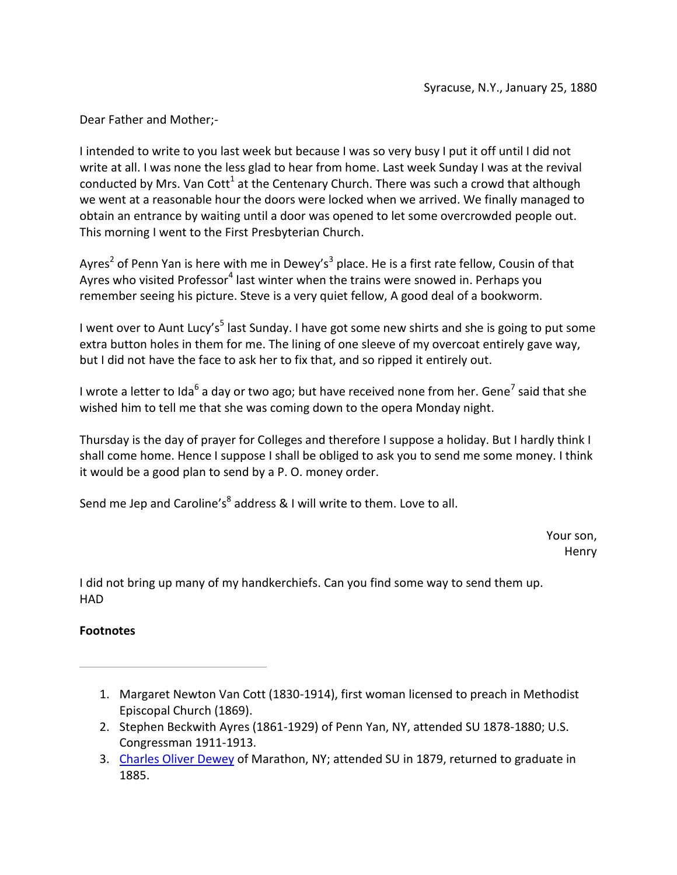I intended to write to you last week but because I was so very busy I put it off until I did not write at all. I was none the less glad to hear from home. Last week Sunday I was at the revival conducted by Mrs. Van Cott<sup>1</sup> at the Centenary Church. There was such a crowd that although we went at a reasonable hour the doors were locked when we arrived. We finally managed to obtain an entrance by waiting until a door was opened to let some overcrowded people out. This morning I went to the First Presbyterian Church.

Ayres<sup>2</sup> of Penn Yan is here with me in Dewey's<sup>3</sup> place. He is a first rate fellow, Cousin of that Ayres who visited Professor<sup>4</sup> last winter when the trains were snowed in. Perhaps you remember seeing his picture. Steve is a very quiet fellow, A good deal of a bookworm.

I went over to Aunt Lucy's<sup>5</sup> last Sunday. I have got some new shirts and she is going to put some extra button holes in them for me. The lining of one sleeve of my overcoat entirely gave way, but I did not have the face to ask her to fix that, and so ripped it entirely out.

I wrote a letter to Ida<sup>6</sup> a day or two ago; but have received none from her. Gene<sup>7</sup> said that she wished him to tell me that she was coming down to the opera Monday night.

Thursday is the day of prayer for Colleges and therefore I suppose a holiday. But I hardly think I shall come home. Hence I suppose I shall be obliged to ask you to send me some money. I think it would be a good plan to send by a P. O. money order.

Send me Jep and Caroline's<sup>8</sup> address & I will write to them. Love to all.

Your son, Henry

I did not bring up many of my handkerchiefs. Can you find some way to send them up. HAD

- 1. Margaret Newton Van Cott (1830-1914), first woman licensed to preach in Methodist Episcopal Church (1869).
- 2. Stephen Beckwith Ayres (1861-1929) of Penn Yan, NY, attended SU 1878-1880; U.S. Congressman 1911-1913.
- 3. Charles Oliver Dewey of Marathon, NY; attended SU in 1879, returned to graduate in 1885.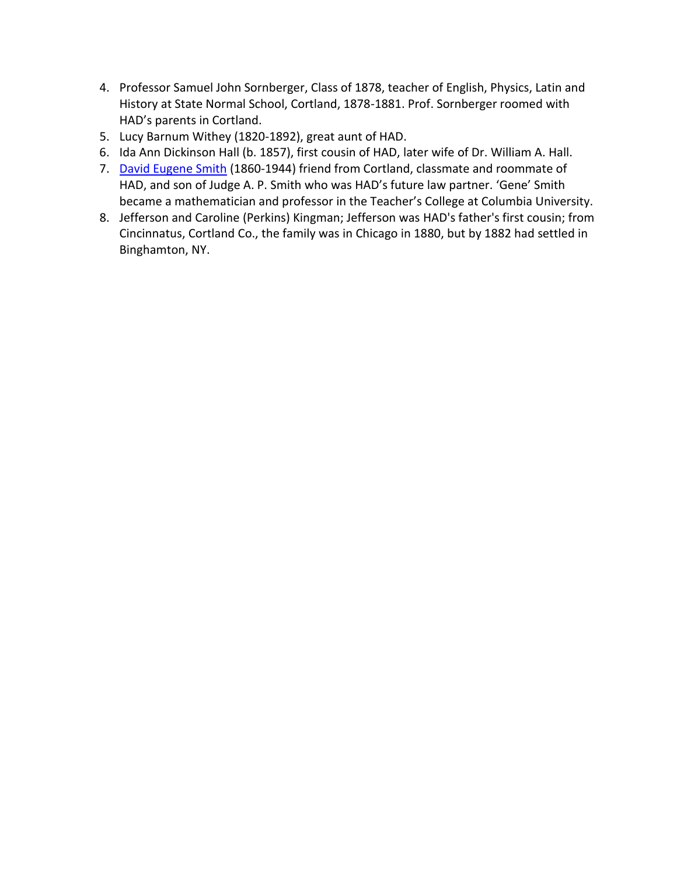- 4. Professor Samuel John Sornberger, Class of 1878, teacher of English, Physics, Latin and History at State Normal School, Cortland, 1878-1881. Prof. Sornberger roomed with HAD's parents in Cortland.
- 5. Lucy Barnum Withey (1820-1892), great aunt of HAD.
- 6. Ida Ann Dickinson Hall (b. 1857), first cousin of HAD, later wife of Dr. William A. Hall.
- 7. David Eugene Smith (1860-1944) friend from Cortland, classmate and roommate of HAD, and son of Judge A. P. Smith who was HAD's future law partner. 'Gene' Smith became a mathematician and professor in the Teacher's College at Columbia University.
- 8. Jefferson and Caroline (Perkins) Kingman; Jefferson was HAD's father's first cousin; from Cincinnatus, Cortland Co., the family was in Chicago in 1880, but by 1882 had settled in Binghamton, NY.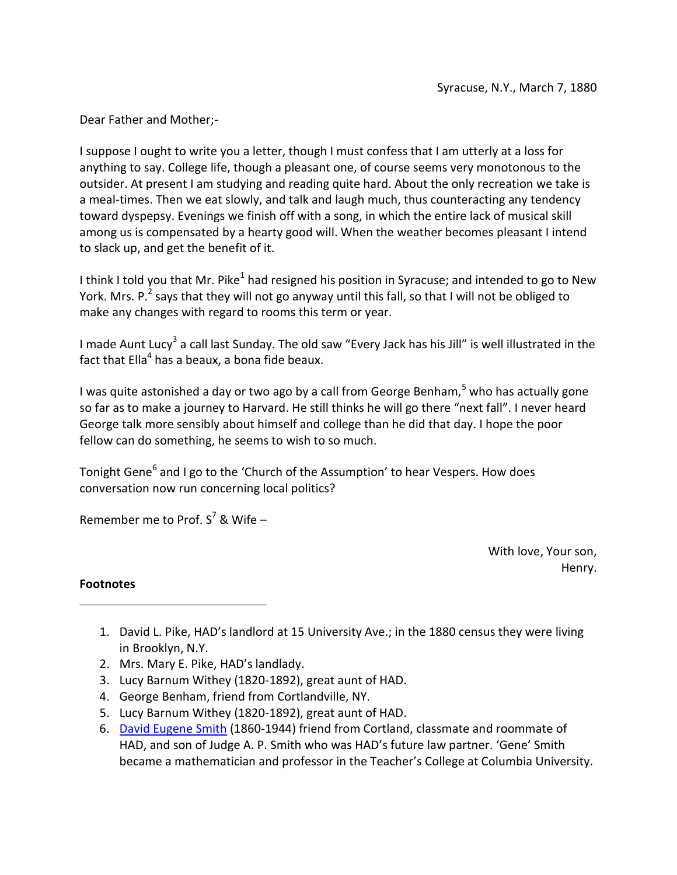I suppose I ought to write you a letter, though I must confess that I am utterly at a loss for anything to say. College life, though a pleasant one, of course seems very monotonous to the outsider. At present I am studying and reading quite hard. About the only recreation we take is a meal-times. Then we eat slowly, and talk and laugh much, thus counteracting any tendency toward dyspepsy. Evenings we finish off with a song, in which the entire lack of musical skill among us is compensated by a hearty good will. When the weather becomes pleasant I intend to slack up, and get the benefit of it.

I think I told you that Mr. Pike<sup>1</sup> had resigned his position in Syracuse; and intended to go to New York. Mrs. P.<sup>2</sup> says that they will not go anyway until this fall, so that I will not be obliged to make any changes with regard to rooms this term or year.

I made Aunt Lucy<sup>3</sup> a call last Sunday. The old saw "Every Jack has his Jill" is well illustrated in the fact that Ella<sup>4</sup> has a beaux, a bona fide beaux.

I was quite astonished a day or two ago by a call from George Benham, $^5$  who has actually gone so far as to make a journey to Harvard. He still thinks he will go there "next fall". I never heard George talk more sensibly about himself and college than he did that day. I hope the poor fellow can do something, he seems to wish to so much.

Tonight Gene<sup>6</sup> and I go to the 'Church of the Assumption' to hear Vespers. How does conversation now run concerning local politics?

Remember me to Prof.  $S^7$  & Wife –

With love, Your son, Henry.

- 1. David L. Pike, HAD's landlord at 15 University Ave.; in the 1880 census they were living in Brooklyn, N.Y.
- 2. Mrs. Mary E. Pike, HAD's landlady.
- 3. Lucy Barnum Withey (1820-1892), great aunt of HAD.
- 4. George Benham, friend from Cortlandville, NY.
- 5. Lucy Barnum Withey (1820-1892), great aunt of HAD.
- 6. David Eugene Smith (1860-1944) friend from Cortland, classmate and roommate of HAD, and son of Judge A. P. Smith who was HAD's future law partner. 'Gene' Smith became a mathematician and professor in the Teacher's College at Columbia University.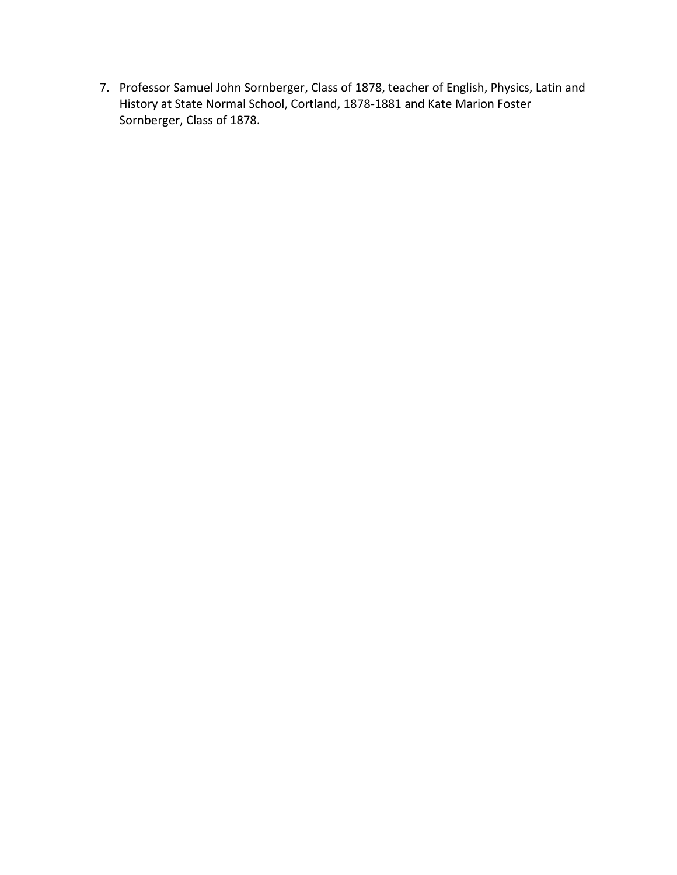7. Professor Samuel John Sornberger, Class of 1878, teacher of English, Physics, Latin and History at State Normal School, Cortland, 1878-1881 and Kate Marion Foster Sornberger, Class of 1878.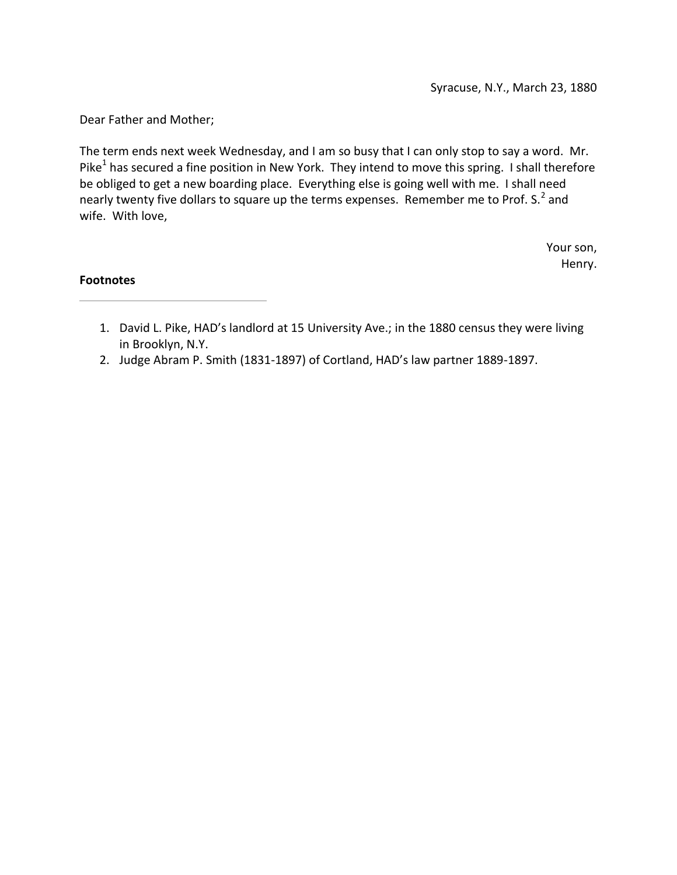The term ends next week Wednesday, and I am so busy that I can only stop to say a word. Mr. Pike<sup>1</sup> has secured a fine position in New York. They intend to move this spring. I shall therefore be obliged to get a new boarding place. Everything else is going well with me. I shall need nearly twenty five dollars to square up the terms expenses. Remember me to Prof. S.<sup>2</sup> and wife. With love,

> Your son, Henry.

- 1. David L. Pike, HAD's landlord at 15 University Ave.; in the 1880 census they were living in Brooklyn, N.Y.
- 2. Judge Abram P. Smith (1831-1897) of Cortland, HAD's law partner 1889-1897.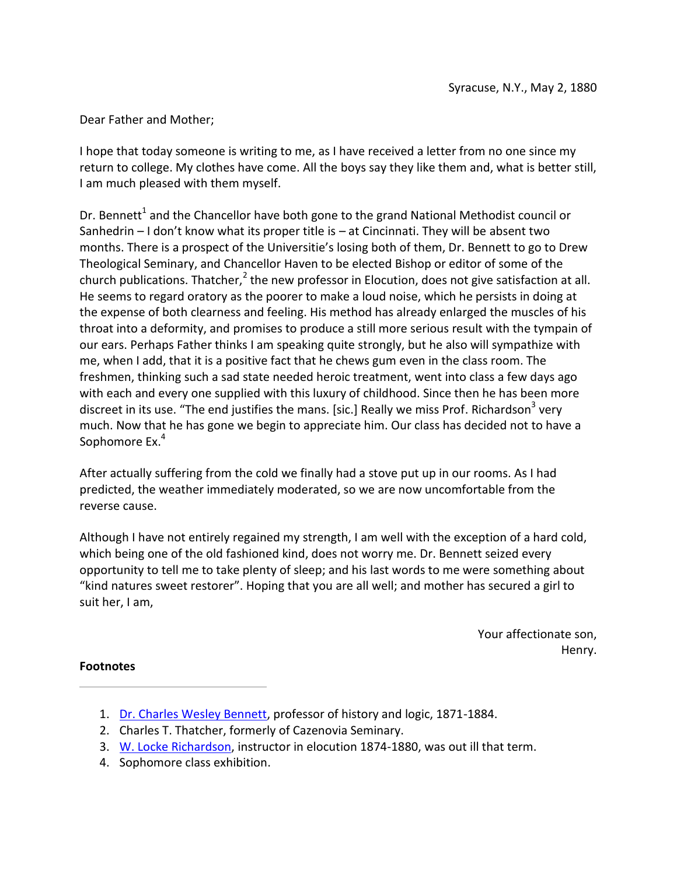I hope that today someone is writing to me, as I have received a letter from no one since my return to college. My clothes have come. All the boys say they like them and, what is better still, I am much pleased with them myself.

Dr. Bennett<sup>1</sup> and the Chancellor have both gone to the grand National Methodist council or Sanhedrin – I don't know what its proper title is – at Cincinnati. They will be absent two months. There is a prospect of the Universitie's losing both of them, Dr. Bennett to go to Drew Theological Seminary, and Chancellor Haven to be elected Bishop or editor of some of the church publications. Thatcher, $^2$  the new professor in Elocution, does not give satisfaction at all. He seems to regard oratory as the poorer to make a loud noise, which he persists in doing at the expense of both clearness and feeling. His method has already enlarged the muscles of his throat into a deformity, and promises to produce a still more serious result with the tympain of our ears. Perhaps Father thinks I am speaking quite strongly, but he also will sympathize with me, when I add, that it is a positive fact that he chews gum even in the class room. The freshmen, thinking such a sad state needed heroic treatment, went into class a few days ago with each and every one supplied with this luxury of childhood. Since then he has been more discreet in its use. "The end justifies the mans. [sic.] Really we miss Prof. Richardson<sup>3</sup> very much. Now that he has gone we begin to appreciate him. Our class has decided not to have a Sophomore Ex.<sup>4</sup>

After actually suffering from the cold we finally had a stove put up in our rooms. As I had predicted, the weather immediately moderated, so we are now uncomfortable from the reverse cause.

Although I have not entirely regained my strength, I am well with the exception of a hard cold, which being one of the old fashioned kind, does not worry me. Dr. Bennett seized every opportunity to tell me to take plenty of sleep; and his last words to me were something about "kind natures sweet restorer". Hoping that you are all well; and mother has secured a girl to suit her, I am,

> Your affectionate son, Henry.

- 1. Dr. Charles Wesley Bennett, professor of history and logic, 1871-1884.
- 2. Charles T. Thatcher, formerly of Cazenovia Seminary.
- 3. W. Locke Richardson, instructor in elocution 1874-1880, was out ill that term.
- 4. Sophomore class exhibition.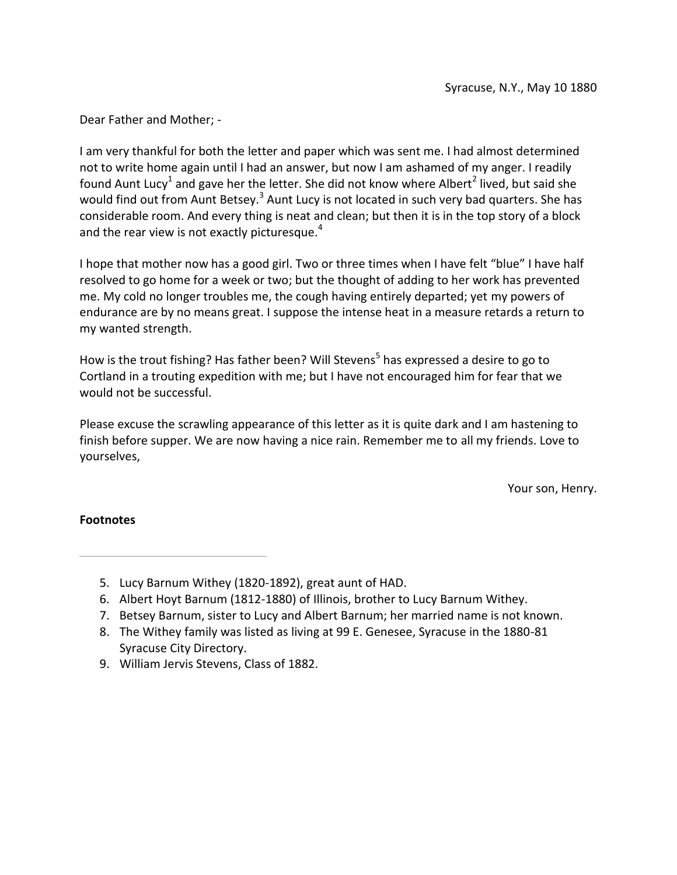I am very thankful for both the letter and paper which was sent me. I had almost determined not to write home again until I had an answer, but now I am ashamed of my anger. I readily found Aunt Lucy<sup>1</sup> and gave her the letter. She did not know where Albert<sup>2</sup> lived, but said she would find out from Aunt Betsey.<sup>3</sup> Aunt Lucy is not located in such very bad quarters. She has considerable room. And every thing is neat and clean; but then it is in the top story of a block and the rear view is not exactly picturesque. $4$ 

I hope that mother now has a good girl. Two or three times when I have felt "blue" I have half resolved to go home for a week or two; but the thought of adding to her work has prevented me. My cold no longer troubles me, the cough having entirely departed; yet my powers of endurance are by no means great. I suppose the intense heat in a measure retards a return to my wanted strength.

How is the trout fishing? Has father been? Will Stevens<sup>5</sup> has expressed a desire to go to Cortland in a trouting expedition with me; but I have not encouraged him for fear that we would not be successful.

Please excuse the scrawling appearance of this letter as it is quite dark and I am hastening to finish before supper. We are now having a nice rain. Remember me to all my friends. Love to yourselves,

Your son, Henry.

- 5. Lucy Barnum Withey (1820-1892), great aunt of HAD.
- 6. Albert Hoyt Barnum (1812-1880) of Illinois, brother to Lucy Barnum Withey.
- 7. Betsey Barnum, sister to Lucy and Albert Barnum; her married name is not known.
- 8. The Withey family was listed as living at 99 E. Genesee, Syracuse in the 1880-81 Syracuse City Directory.
- 9. William Jervis Stevens, Class of 1882.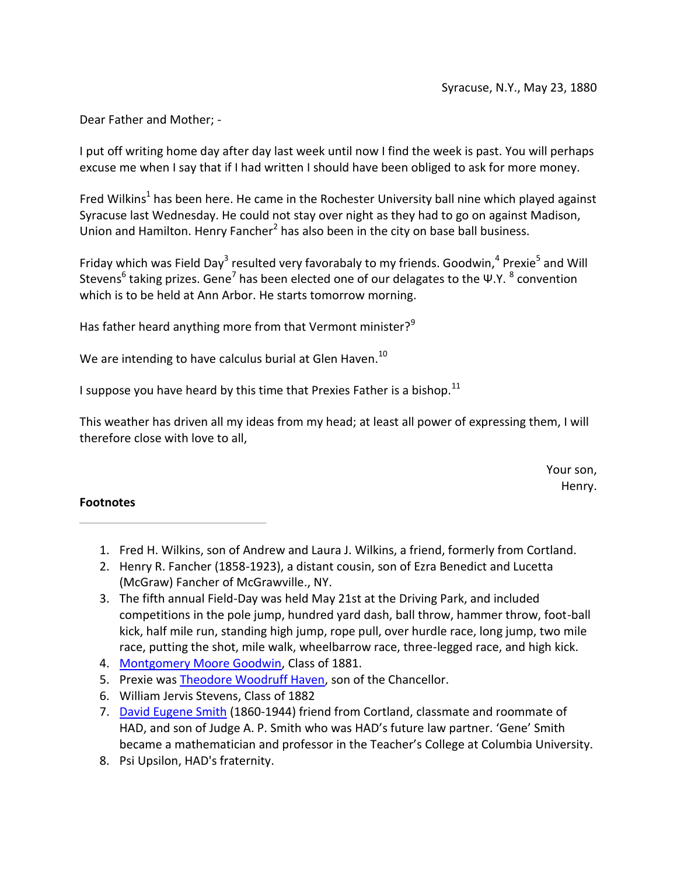I put off writing home day after day last week until now I find the week is past. You will perhaps excuse me when I say that if I had written I should have been obliged to ask for more money.

Fred Wilkins<sup>1</sup> has been here. He came in the Rochester University ball nine which played against Syracuse last Wednesday. He could not stay over night as they had to go on against Madison, Union and Hamilton. Henry Fancher<sup>2</sup> has also been in the city on base ball business.

Friday which was Field Day<sup>3</sup> resulted very favorabaly to my friends. Goodwin,<sup>4</sup> Prexie<sup>5</sup> and Will Stevens<sup>6</sup> taking prizes. Gene<sup>7</sup> has been elected one of our delagates to the Ψ.Υ.  $^8$  convention which is to be held at Ann Arbor. He starts tomorrow morning.

Has father heard anything more from that Vermont minister?<sup>9</sup>

We are intending to have calculus burial at Glen Haven.<sup>10</sup>

I suppose you have heard by this time that Prexies Father is a bishop.<sup>11</sup>

This weather has driven all my ideas from my head; at least all power of expressing them, I will therefore close with love to all,

> Your son, Henry.

- 1. Fred H. Wilkins, son of Andrew and Laura J. Wilkins, a friend, formerly from Cortland.
- 2. Henry R. Fancher (1858-1923), a distant cousin, son of Ezra Benedict and Lucetta (McGraw) Fancher of McGrawville., NY.
- 3. The fifth annual Field-Day was held May 21st at the Driving Park, and included competitions in the pole jump, hundred yard dash, ball throw, hammer throw, foot-ball kick, half mile run, standing high jump, rope pull, over hurdle race, long jump, two mile race, putting the shot, mile walk, wheelbarrow race, three-legged race, and high kick.
- 4. Montgomery Moore Goodwin, Class of 1881.
- 5. Prexie was Theodore Woodruff Haven, son of the Chancellor.
- 6. William Jervis Stevens, Class of 1882
- 7. David Eugene Smith (1860-1944) friend from Cortland, classmate and roommate of HAD, and son of Judge A. P. Smith who was HAD's future law partner. 'Gene' Smith became a mathematician and professor in the Teacher's College at Columbia University.
- 8. Psi Upsilon, HAD's fraternity.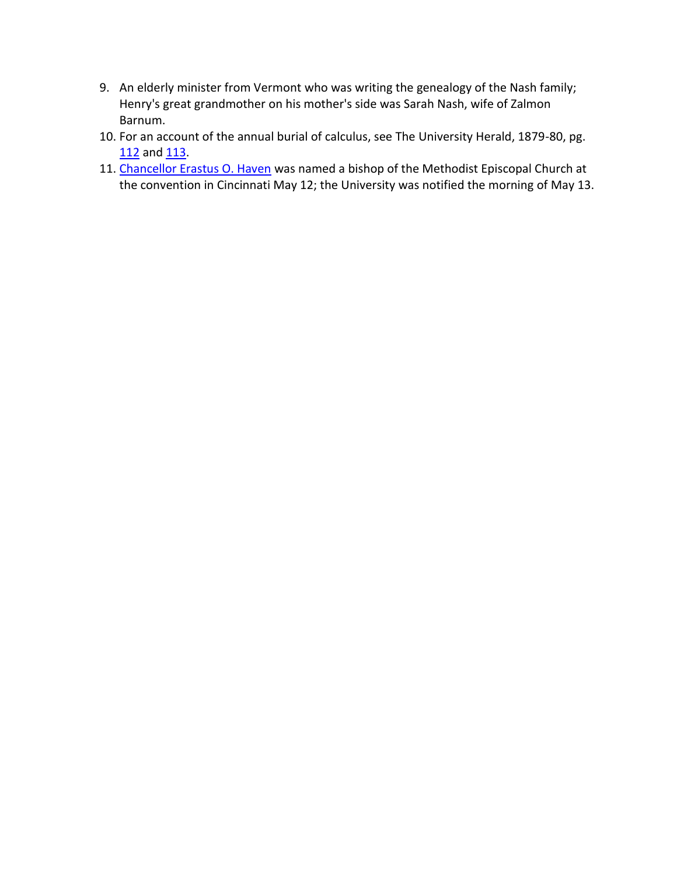- 9. An elderly minister from Vermont who was writing the genealogy of the Nash family; Henry's great grandmother on his mother's side was Sarah Nash, wife of Zalmon Barnum.
- 10. For an account of the annual burial of calculus, see The University Herald, 1879-80, pg. 112 and 113.
- 11. Chancellor Erastus O. Haven was named a bishop of the Methodist Episcopal Church at the convention in Cincinnati May 12; the University was notified the morning of May 13.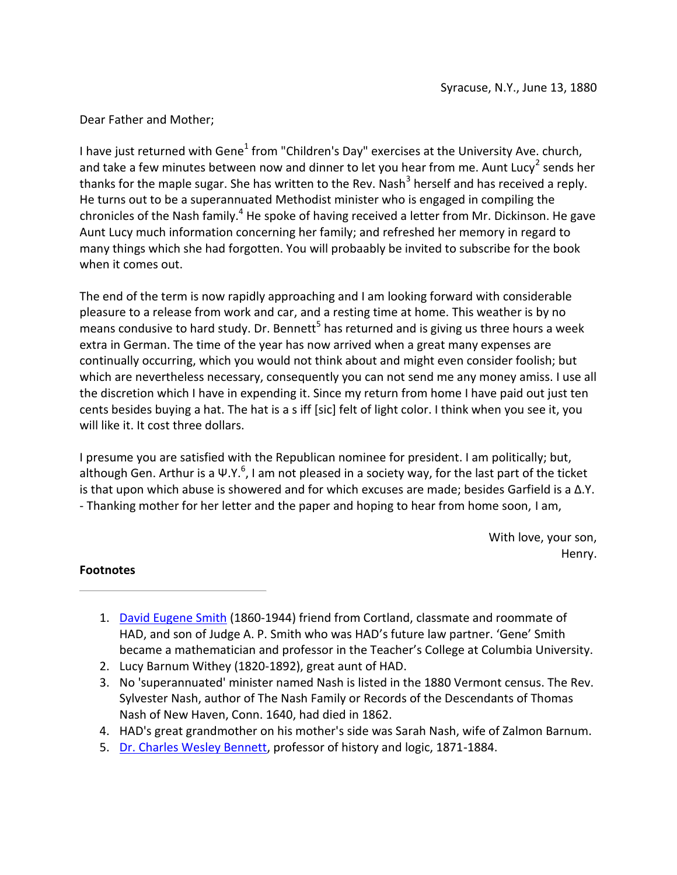I have just returned with Gene<sup>1</sup> from "Children's Day" exercises at the University Ave. church, and take a few minutes between now and dinner to let you hear from me. Aunt Lucy<sup>2</sup> sends her thanks for the maple sugar. She has written to the Rev. Nash<sup>3</sup> herself and has received a reply. He turns out to be a superannuated Methodist minister who is engaged in compiling the chronicles of the Nash family.<sup>4</sup> He spoke of having received a letter from Mr. Dickinson. He gave Aunt Lucy much information concerning her family; and refreshed her memory in regard to many things which she had forgotten. You will probaably be invited to subscribe for the book when it comes out.

The end of the term is now rapidly approaching and I am looking forward with considerable pleasure to a release from work and car, and a resting time at home. This weather is by no means condusive to hard study. Dr. Bennett<sup>5</sup> has returned and is giving us three hours a week extra in German. The time of the year has now arrived when a great many expenses are continually occurring, which you would not think about and might even consider foolish; but which are nevertheless necessary, consequently you can not send me any money amiss. I use all the discretion which I have in expending it. Since my return from home I have paid out just ten cents besides buying a hat. The hat is a s iff [sic] felt of light color. I think when you see it, you will like it. It cost three dollars.

I presume you are satisfied with the Republican nominee for president. I am politically; but, although Gen. Arthur is a Ψ.Υ. $^6$ , I am not pleased in a society way, for the last part of the ticket is that upon which abuse is showered and for which excuses are made; besides Garfield is a  $Δ.Y.$ - Thanking mother for her letter and the paper and hoping to hear from home soon, I am,

> With love, your son, Henry.

- 1. David Eugene Smith (1860-1944) friend from Cortland, classmate and roommate of HAD, and son of Judge A. P. Smith who was HAD's future law partner. 'Gene' Smith became a mathematician and professor in the Teacher's College at Columbia University.
- 2. Lucy Barnum Withey (1820-1892), great aunt of HAD.
- 3. No 'superannuated' minister named Nash is listed in the 1880 Vermont census. The Rev. Sylvester Nash, author of The Nash Family or Records of the Descendants of Thomas Nash of New Haven, Conn. 1640, had died in 1862.
- 4. HAD's great grandmother on his mother's side was Sarah Nash, wife of Zalmon Barnum.
- 5. Dr. Charles Wesley Bennett, professor of history and logic, 1871-1884.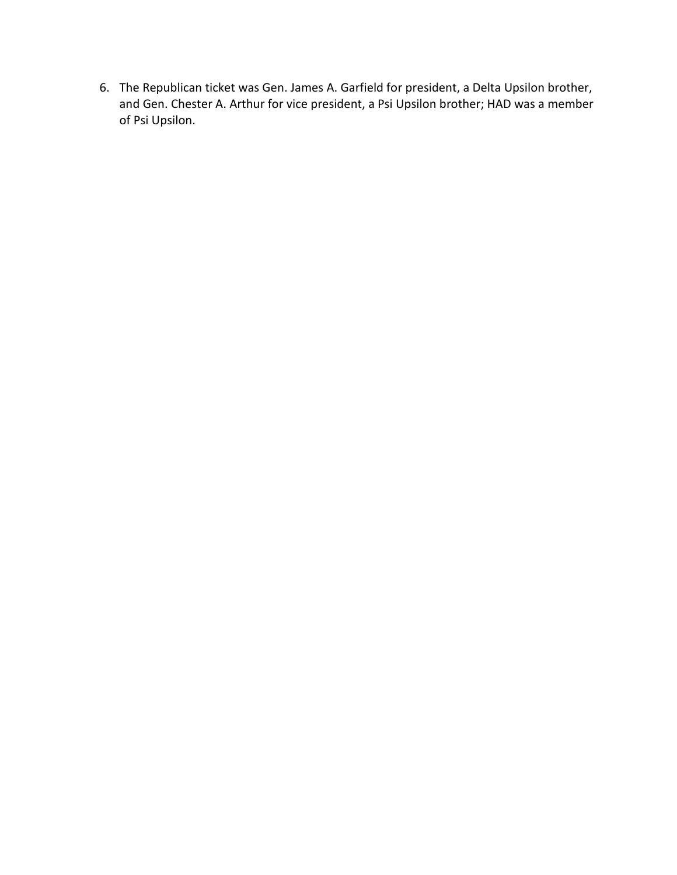6. The Republican ticket was Gen. James A. Garfield for president, a Delta Upsilon brother, and Gen. Chester A. Arthur for vice president, a Psi Upsilon brother; HAD was a member of Psi Upsilon.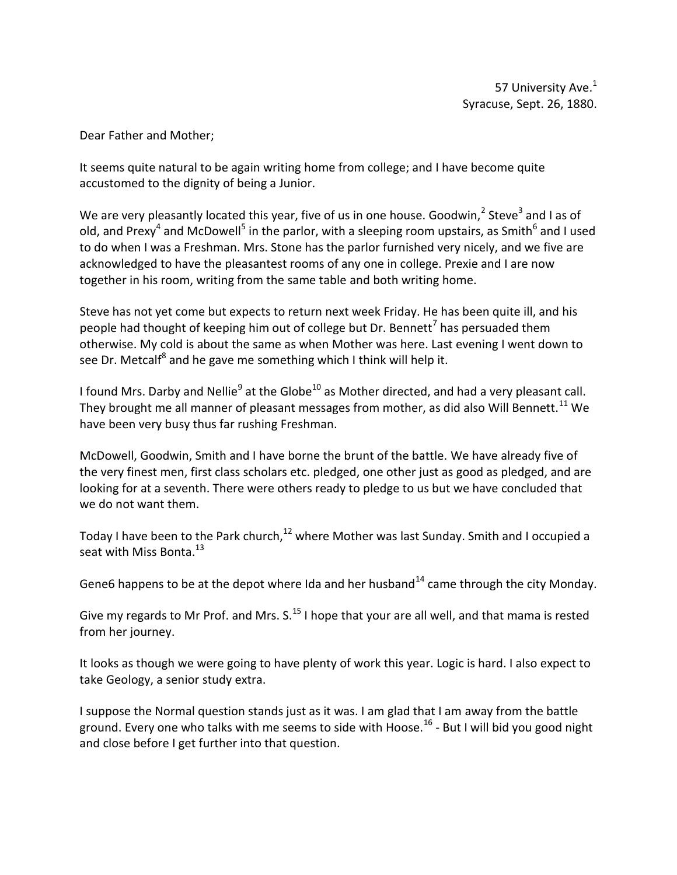It seems quite natural to be again writing home from college; and I have become quite accustomed to the dignity of being a Junior.

We are very pleasantly located this year, five of us in one house. Goodwin,  $2$  Steve<sup>3</sup> and I as of old, and Prexy<sup>4</sup> and McDowell<sup>5</sup> in the parlor, with a sleeping room upstairs, as Smith<sup>6</sup> and I used to do when I was a Freshman. Mrs. Stone has the parlor furnished very nicely, and we five are acknowledged to have the pleasantest rooms of any one in college. Prexie and I are now together in his room, writing from the same table and both writing home.

Steve has not yet come but expects to return next week Friday. He has been quite ill, and his people had thought of keeping him out of college but Dr. Bennett<sup>7</sup> has persuaded them otherwise. My cold is about the same as when Mother was here. Last evening I went down to see Dr. Metcalf<sup>8</sup> and he gave me something which I think will help it.

I found Mrs. Darby and Nellie<sup>9</sup> at the Globe<sup>10</sup> as Mother directed, and had a very pleasant call. They brought me all manner of pleasant messages from mother, as did also Will Bennett.<sup>11</sup> We have been very busy thus far rushing Freshman.

McDowell, Goodwin, Smith and I have borne the brunt of the battle. We have already five of the very finest men, first class scholars etc. pledged, one other just as good as pledged, and are looking for at a seventh. There were others ready to pledge to us but we have concluded that we do not want them.

Today I have been to the Park church,  $^{12}$  where Mother was last Sunday. Smith and I occupied a seat with Miss Bonta.<sup>13</sup>

Gene6 happens to be at the depot where Ida and her husband<sup>14</sup> came through the city Monday.

Give my regards to Mr Prof. and Mrs.  $S<sup>15</sup>$  I hope that your are all well, and that mama is rested from her journey.

It looks as though we were going to have plenty of work this year. Logic is hard. I also expect to take Geology, a senior study extra.

I suppose the Normal question stands just as it was. I am glad that I am away from the battle ground. Every one who talks with me seems to side with Hoose.<sup>16</sup> - But I will bid you good night and close before I get further into that question.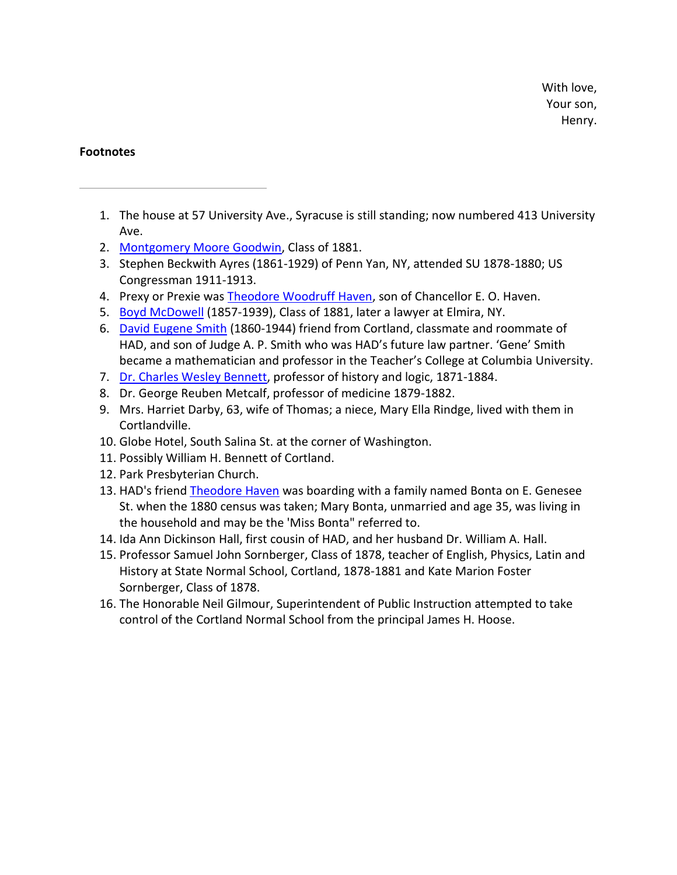- 1. The house at 57 University Ave., Syracuse is still standing; now numbered 413 University Ave.
- 2. Montgomery Moore Goodwin, Class of 1881.
- 3. Stephen Beckwith Ayres (1861-1929) of Penn Yan, NY, attended SU 1878-1880; US Congressman 1911-1913.
- 4. Prexy or Prexie was Theodore Woodruff Haven, son of Chancellor E. O. Haven.
- 5. Boyd McDowell (1857-1939), Class of 1881, later a lawyer at Elmira, NY.
- 6. David Eugene Smith (1860-1944) friend from Cortland, classmate and roommate of HAD, and son of Judge A. P. Smith who was HAD's future law partner. 'Gene' Smith became a mathematician and professor in the Teacher's College at Columbia University.
- 7. Dr. Charles Wesley Bennett, professor of history and logic, 1871-1884.
- 8. Dr. George Reuben Metcalf, professor of medicine 1879-1882.
- 9. Mrs. Harriet Darby, 63, wife of Thomas; a niece, Mary Ella Rindge, lived with them in Cortlandville.
- 10. Globe Hotel, South Salina St. at the corner of Washington.
- 11. Possibly William H. Bennett of Cortland.
- 12. Park Presbyterian Church.
- 13. HAD's friend Theodore Haven was boarding with a family named Bonta on E. Genesee St. when the 1880 census was taken; Mary Bonta, unmarried and age 35, was living in the household and may be the 'Miss Bonta" referred to.
- 14. Ida Ann Dickinson Hall, first cousin of HAD, and her husband Dr. William A. Hall.
- 15. Professor Samuel John Sornberger, Class of 1878, teacher of English, Physics, Latin and History at State Normal School, Cortland, 1878-1881 and Kate Marion Foster Sornberger, Class of 1878.
- 16. The Honorable Neil Gilmour, Superintendent of Public Instruction attempted to take control of the Cortland Normal School from the principal James H. Hoose.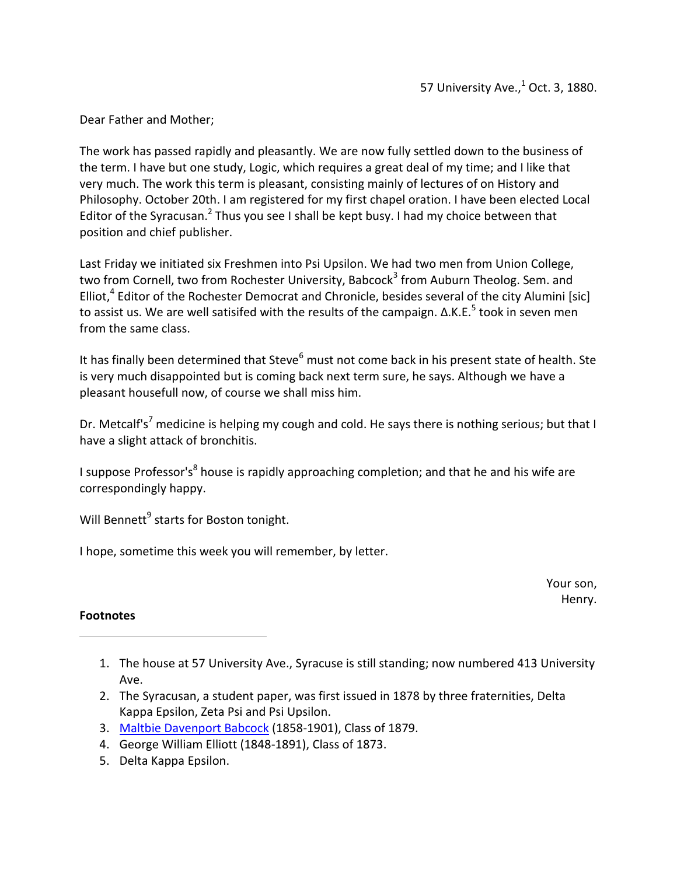The work has passed rapidly and pleasantly. We are now fully settled down to the business of the term. I have but one study, Logic, which requires a great deal of my time; and I like that very much. The work this term is pleasant, consisting mainly of lectures of on History and Philosophy. October 20th. I am registered for my first chapel oration. I have been elected Local Editor of the Syracusan.<sup>2</sup> Thus you see I shall be kept busy. I had my choice between that position and chief publisher.

Last Friday we initiated six Freshmen into Psi Upsilon. We had two men from Union College, two from Cornell, two from Rochester University, Babcock<sup>3</sup> from Auburn Theolog. Sem. and Elliot, $4$  Editor of the Rochester Democrat and Chronicle, besides several of the city Alumini [sic] to assist us. We are well satisifed with the results of the campaign.  $Δ.K.E.<sup>5</sup>$  took in seven men from the same class.

It has finally been determined that Steve $^6$  must not come back in his present state of health. Ste is very much disappointed but is coming back next term sure, he says. Although we have a pleasant housefull now, of course we shall miss him.

Dr. Metcalf's<sup>7</sup> medicine is helping my cough and cold. He says there is nothing serious; but that I have a slight attack of bronchitis.

I suppose Professor's<sup>8</sup> house is rapidly approaching completion; and that he and his wife are correspondingly happy.

Will Bennett<sup>9</sup> starts for Boston tonight.

I hope, sometime this week you will remember, by letter.

Your son, Henry.

- 1. The house at 57 University Ave., Syracuse is still standing; now numbered 413 University Ave.
- 2. The Syracusan, a student paper, was first issued in 1878 by three fraternities, Delta Kappa Epsilon, Zeta Psi and Psi Upsilon.
- 3. Maltbie Davenport Babcock (1858-1901), Class of 1879.
- 4. George William Elliott (1848-1891), Class of 1873.
- 5. Delta Kappa Epsilon.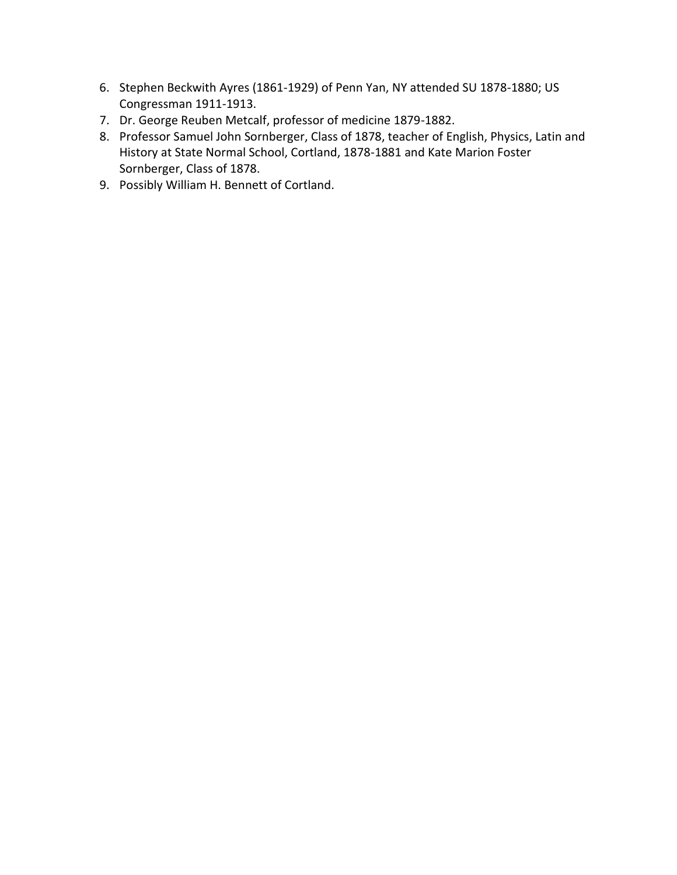- 6. Stephen Beckwith Ayres (1861-1929) of Penn Yan, NY attended SU 1878-1880; US Congressman 1911-1913.
- 7. Dr. George Reuben Metcalf, professor of medicine 1879-1882.
- 8. Professor Samuel John Sornberger, Class of 1878, teacher of English, Physics, Latin and History at State Normal School, Cortland, 1878-1881 and Kate Marion Foster Sornberger, Class of 1878.
- 9. Possibly William H. Bennett of Cortland.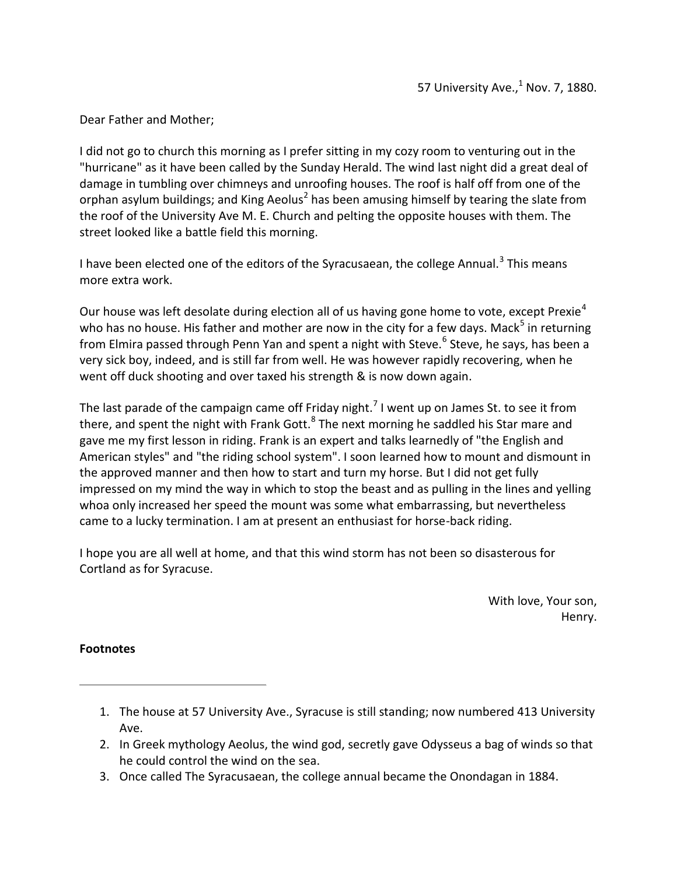I did not go to church this morning as I prefer sitting in my cozy room to venturing out in the "hurricane" as it have been called by the Sunday Herald. The wind last night did a great deal of damage in tumbling over chimneys and unroofing houses. The roof is half off from one of the orphan asylum buildings; and King Aeolus<sup>2</sup> has been amusing himself by tearing the slate from the roof of the University Ave M. E. Church and pelting the opposite houses with them. The street looked like a battle field this morning.

I have been elected one of the editors of the Syracusaean, the college Annual.<sup>3</sup> This means more extra work.

Our house was left desolate during election all of us having gone home to vote, except Prexie<sup>4</sup> who has no house. His father and mother are now in the city for a few days. Mack<sup>5</sup> in returning from Elmira passed through Penn Yan and spent a night with Steve.<sup>6</sup> Steve, he says, has been a very sick boy, indeed, and is still far from well. He was however rapidly recovering, when he went off duck shooting and over taxed his strength & is now down again.

The last parade of the campaign came off Friday night.<sup>7</sup> I went up on James St. to see it from there, and spent the night with Frank Gott. $8$  The next morning he saddled his Star mare and gave me my first lesson in riding. Frank is an expert and talks learnedly of "the English and American styles" and "the riding school system". I soon learned how to mount and dismount in the approved manner and then how to start and turn my horse. But I did not get fully impressed on my mind the way in which to stop the beast and as pulling in the lines and yelling whoa only increased her speed the mount was some what embarrassing, but nevertheless came to a lucky termination. I am at present an enthusiast for horse-back riding.

I hope you are all well at home, and that this wind storm has not been so disasterous for Cortland as for Syracuse.

> With love, Your son, Henry.

- 1. The house at 57 University Ave., Syracuse is still standing; now numbered 413 University Ave.
- 2. In Greek mythology Aeolus, the wind god, secretly gave Odysseus a bag of winds so that he could control the wind on the sea.
- 3. Once called The Syracusaean, the college annual became the Onondagan in 1884.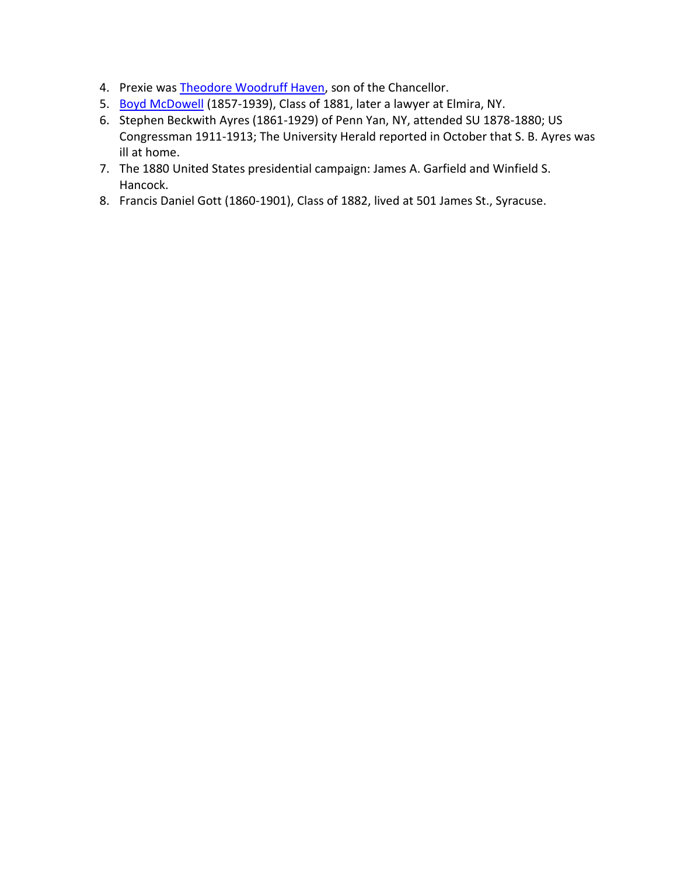- 4. Prexie was Theodore Woodruff Haven, son of the Chancellor.
- 5. Boyd McDowell (1857-1939), Class of 1881, later a lawyer at Elmira, NY.
- 6. Stephen Beckwith Ayres (1861-1929) of Penn Yan, NY, attended SU 1878-1880; US Congressman 1911-1913; The University Herald reported in October that S. B. Ayres was ill at home.
- 7. The 1880 United States presidential campaign: James A. Garfield and Winfield S. Hancock.
- 8. Francis Daniel Gott (1860-1901), Class of 1882, lived at 501 James St., Syracuse.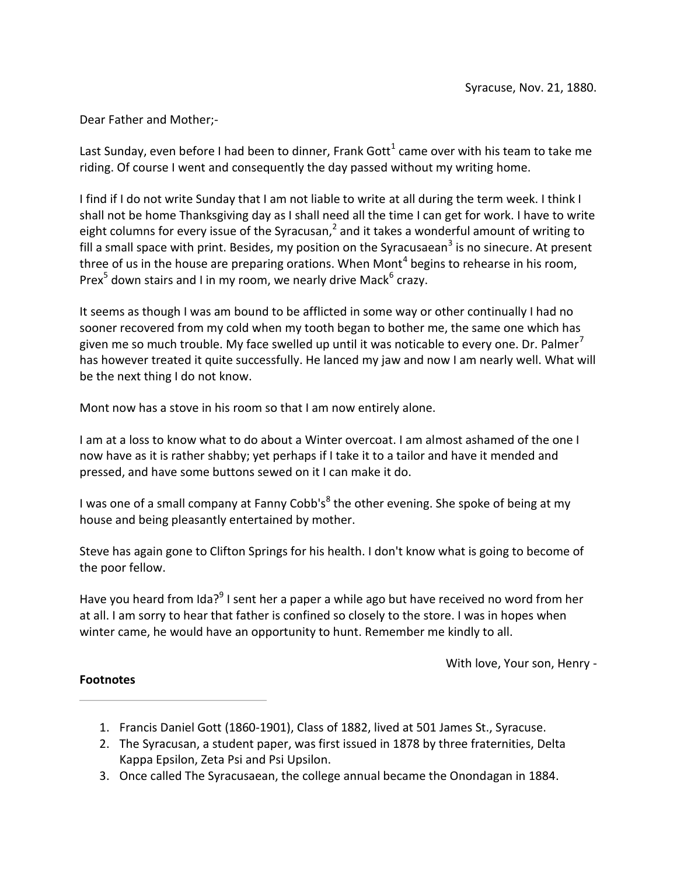Last Sunday, even before I had been to dinner, Frank Gott<sup>1</sup> came over with his team to take me riding. Of course I went and consequently the day passed without my writing home.

I find if I do not write Sunday that I am not liable to write at all during the term week. I think I shall not be home Thanksgiving day as I shall need all the time I can get for work. I have to write eight columns for every issue of the Syracusan,<sup>2</sup> and it takes a wonderful amount of writing to fill a small space with print. Besides, my position on the Syracusaean<sup>3</sup> is no sinecure. At present three of us in the house are preparing orations. When Mont<sup>4</sup> begins to rehearse in his room, Prex<sup>5</sup> down stairs and I in my room, we nearly drive Mack<sup>6</sup> crazy.

It seems as though I was am bound to be afflicted in some way or other continually I had no sooner recovered from my cold when my tooth began to bother me, the same one which has given me so much trouble. My face swelled up until it was noticable to every one. Dr. Palmer<sup>7</sup> has however treated it quite successfully. He lanced my jaw and now I am nearly well. What will be the next thing I do not know.

Mont now has a stove in his room so that I am now entirely alone.

I am at a loss to know what to do about a Winter overcoat. I am almost ashamed of the one I now have as it is rather shabby; yet perhaps if I take it to a tailor and have it mended and pressed, and have some buttons sewed on it I can make it do.

I was one of a small company at Fanny Cobb's<sup>8</sup> the other evening. She spoke of being at my house and being pleasantly entertained by mother.

Steve has again gone to Clifton Springs for his health. I don't know what is going to become of the poor fellow.

Have you heard from Ida?<sup>9</sup> I sent her a paper a while ago but have received no word from her at all. I am sorry to hear that father is confined so closely to the store. I was in hopes when winter came, he would have an opportunity to hunt. Remember me kindly to all.

With love, Your son, Henry -

- 1. Francis Daniel Gott (1860-1901), Class of 1882, lived at 501 James St., Syracuse.
- 2. The Syracusan, a student paper, was first issued in 1878 by three fraternities, Delta Kappa Epsilon, Zeta Psi and Psi Upsilon.
- 3. Once called The Syracusaean, the college annual became the Onondagan in 1884.